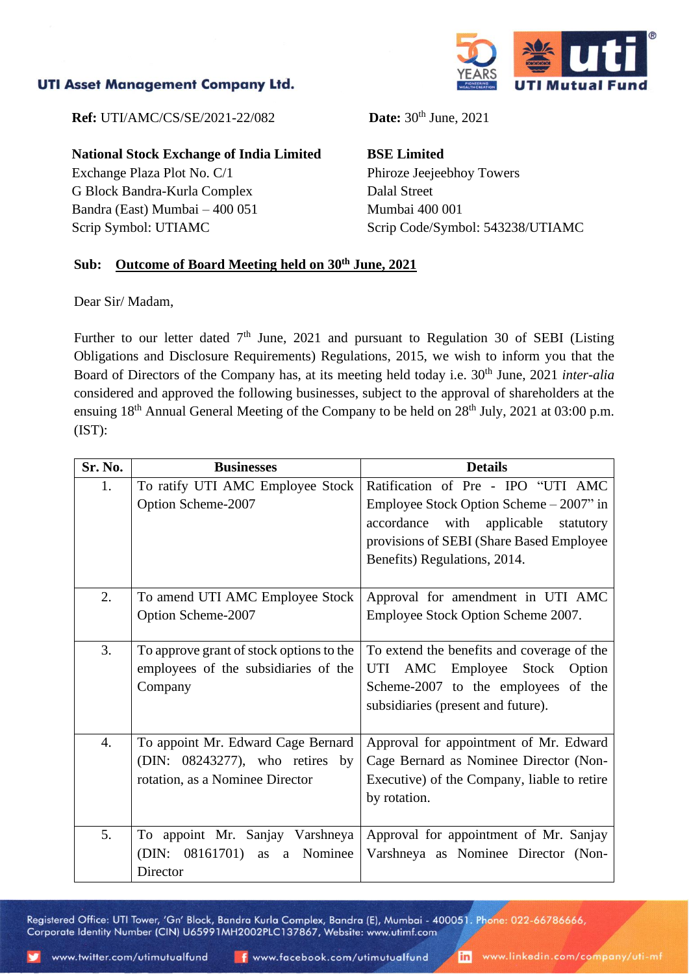## **UTI Asset Management Company Ltd.**



**Ref:** UTI/AMC/CS/SE/2021-22/082 **Date:** 30<sup>th</sup> June, 2021

**National Stock Exchange of India Limited**

Exchange Plaza Plot No. C/1 G Block Bandra-Kurla Complex Bandra (East) Mumbai – 400 051 Scrip Symbol: UTIAMC

**BSE Limited** Phiroze Jeejeebhoy Towers Dalal Street Mumbai 400 001 Scrip Code/Symbol: 543238/UTIAMC

## **Sub: Outcome of Board Meeting held on 30th June, 2021**

Dear Sir/ Madam,

Further to our letter dated  $7<sup>th</sup>$  June, 2021 and pursuant to Regulation 30 of SEBI (Listing Obligations and Disclosure Requirements) Regulations, 2015, we wish to inform you that the Board of Directors of the Company has, at its meeting held today i.e. 30<sup>th</sup> June, 2021 *inter-alia* considered and approved the following businesses, subject to the approval of shareholders at the ensuing  $18<sup>th</sup>$  Annual General Meeting of the Company to be held on  $28<sup>th</sup>$  July, 2021 at 03:00 p.m. (IST):

| Sr. No. | <b>Businesses</b>                                                                                        | <b>Details</b>                                                                                                                                                                                          |
|---------|----------------------------------------------------------------------------------------------------------|---------------------------------------------------------------------------------------------------------------------------------------------------------------------------------------------------------|
| 1.      | To ratify UTI AMC Employee Stock<br>Option Scheme-2007                                                   | Ratification of Pre - IPO "UTI AMC<br>Employee Stock Option Scheme – 2007" in<br>accordance with<br>applicable<br>statutory<br>provisions of SEBI (Share Based Employee<br>Benefits) Regulations, 2014. |
| 2.      | To amend UTI AMC Employee Stock<br>Option Scheme-2007                                                    | Approval for amendment in UTI AMC<br>Employee Stock Option Scheme 2007.                                                                                                                                 |
| 3.      | To approve grant of stock options to the<br>employees of the subsidiaries of the<br>Company              | To extend the benefits and coverage of the<br>UTI AMC Employee<br>Stock Option<br>Scheme-2007 to the employees of the<br>subsidiaries (present and future).                                             |
| 4.      | To appoint Mr. Edward Cage Bernard<br>(DIN: 08243277), who retires by<br>rotation, as a Nominee Director | Approval for appointment of Mr. Edward<br>Cage Bernard as Nominee Director (Non-<br>Executive) of the Company, liable to retire<br>by rotation.                                                         |
| 5.      | To appoint Mr. Sanjay Varshneya<br>(DIN: 08161701) as a Nominee<br>Director                              | Approval for appointment of Mr. Sanjay<br>Varshneya as Nominee Director (Non-                                                                                                                           |

Registered Office: UTI Tower, 'Gn' Block, Bandra Kurla Complex, Bandra (E), Mumbai - 400051. Phone: 022-66786666, Corporate Identity Number (CIN) U65991MH2002PLC137867, Website: www.utimf.com

inl